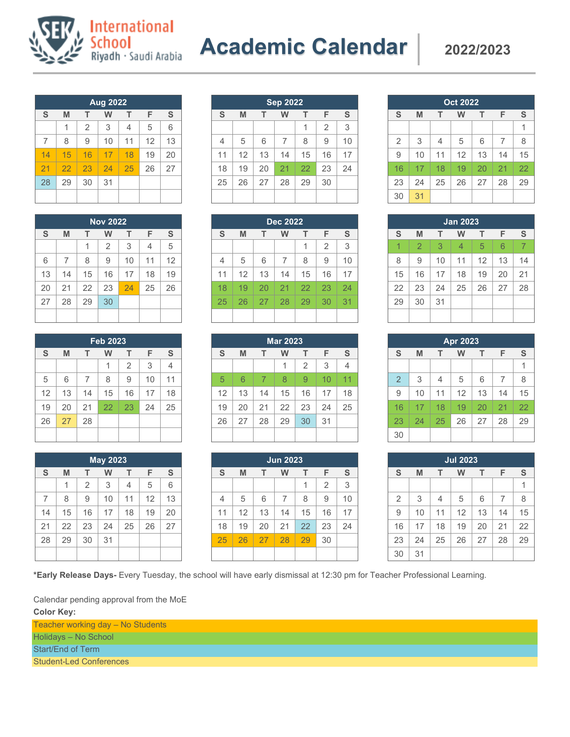

| <b>Aug 2022</b> |    |                |    |    |    |               |  |  |
|-----------------|----|----------------|----|----|----|---------------|--|--|
| S               | M  | т              | w  | т  | F  | ${\mathbb S}$ |  |  |
|                 | 1  | $\overline{2}$ | 3  | 4  | 5  | 6             |  |  |
| 7               | 8  | 9              | 10 | 11 | 12 | 13            |  |  |
| 14              | 15 | 16             | 17 | 18 | 19 | 20            |  |  |
| 21              | 22 | 23             | 24 | 25 | 26 | 27            |  |  |
| 28              | 29 | 30             | 31 |    |    |               |  |  |
|                 |    |                |    |    |    |               |  |  |

**International** 

School<br>Riyadh · Saudi Arabia

| <b>Nov 2022</b> |                |    |                |    |    |    |  |  |
|-----------------|----------------|----|----------------|----|----|----|--|--|
| S               | M              |    | w              | T  | F  | S  |  |  |
|                 |                | 1  | $\overline{2}$ | 3  | 4  | 5  |  |  |
| 6               | $\overline{7}$ | 8  | 9              | 10 | 11 | 12 |  |  |
| 13              | 14             | 15 | 16             | 17 | 18 | 19 |  |  |
| 20              | 21             | 22 | 23             | 24 | 25 | 26 |  |  |
| 27              | 28             | 29 | 30             |    |    |    |  |  |
|                 |                |    |                |    |    |    |  |  |

| <b>Feb 2023</b> |    |    |    |                |    |    |  |  |
|-----------------|----|----|----|----------------|----|----|--|--|
| S               | M  | т  | W  | т              | F  | S  |  |  |
|                 |    |    | 1  | $\overline{2}$ | 3  | 4  |  |  |
| 5               | 6  | 7  | 8  | 9              | 10 | 11 |  |  |
| 12              | 13 | 14 | 15 | 16             | 17 | 18 |  |  |
| 19              | 20 | 21 | 22 | 23             | 24 | 25 |  |  |
| 26              | 27 | 28 |    |                |    |    |  |  |
|                 |    |    |    |                |    |    |  |  |

| <b>May 2023</b> |    |                |    |    |    |    |  |
|-----------------|----|----------------|----|----|----|----|--|
| S               | M  | т              | W  | т  | F  | S  |  |
|                 | 1  | $\overline{2}$ | 3  | 4  | 5  | 6  |  |
| 7               | 8  | 9              | 10 | 11 | 12 | 13 |  |
| 14              | 15 | 16             | 17 | 18 | 19 | 20 |  |
| 21              | 22 | 23             | 24 | 25 | 26 | 27 |  |
| 28              | 29 | 30             | 31 |    |    |    |  |
|                 |    |                |    |    |    |    |  |

| <b>Sep 2022</b> |    |    |    |    |                |    |  |
|-----------------|----|----|----|----|----------------|----|--|
| S               | M  | т  | W  | т  | F              | S  |  |
|                 |    |    |    |    | $\overline{2}$ | 3  |  |
| $\overline{4}$  | 5  | 6  | 7  | 8  | 9              | 10 |  |
| 11              | 12 | 13 | 14 | 15 | 16             | 17 |  |
| 18              | 19 | 20 | 21 | 22 | 23             | 24 |  |
| 25              | 26 | 27 | 28 | 29 | 30             |    |  |
|                 |    |    |    |    |                |    |  |

| <b>Dec 2022</b> |    |    |    |    |                |    |  |  |  |
|-----------------|----|----|----|----|----------------|----|--|--|--|
| S               | M  | т  | w  | т  | F              | S  |  |  |  |
|                 |    |    |    | 1  | $\overline{2}$ | 3  |  |  |  |
| 4               | 5  | 6  | 7  | 8  | 9              | 10 |  |  |  |
| 11              | 12 | 13 | 14 | 15 | 16             | 17 |  |  |  |
| 18              | 19 | 20 | 21 | 22 | 23             | 24 |  |  |  |
| 25              | 26 | 27 | 28 | 29 | 30             | 31 |  |  |  |
|                 |    |    |    |    |                |    |  |  |  |

| <b>Mar 2023</b> |    |    |    |                |    |    |  |  |  |
|-----------------|----|----|----|----------------|----|----|--|--|--|
| S               | M  | т  | w  | т              | F  | S  |  |  |  |
|                 |    |    | 1  | $\overline{2}$ | 3  |    |  |  |  |
| 5               | 6  | 7  | 8  | 9              | 10 | 11 |  |  |  |
| 12              | 13 | 14 | 15 | 16             | 17 | 18 |  |  |  |
| 19              | 20 | 21 | 22 | 23             | 24 | 25 |  |  |  |
| 26              | 27 | 28 | 29 | 30             | 31 |    |  |  |  |
|                 |    |    |    |                |    |    |  |  |  |

| Jun 2023       |    |    |    |    |                |    |  |  |
|----------------|----|----|----|----|----------------|----|--|--|
| S              | M  | т  | W  | т  | F              | S  |  |  |
|                |    |    |    | 1  | $\overline{2}$ | 3  |  |  |
| $\overline{4}$ | 5  | 6  | 7  | 8  | 9              | 10 |  |  |
| 11             | 12 | 13 | 14 | 15 | 16             | 17 |  |  |
| 18             | 19 | 20 | 21 | 22 | 23             | 24 |  |  |
| 25             | 26 | 27 | 28 | 29 | 30             |    |  |  |
|                |    |    |    |    |                |    |  |  |

| <b>Oct 2022</b> |    |    |    |    |    |    |  |  |  |
|-----------------|----|----|----|----|----|----|--|--|--|
| S               | M  | т  | W  | т  | F  | S  |  |  |  |
|                 |    |    |    |    |    | 1  |  |  |  |
| $\overline{2}$  | 3  | 4  | 5  | 6  | 7  | 8  |  |  |  |
| 9               | 10 | 11 | 12 | 13 | 14 | 15 |  |  |  |
| 16              | 17 | 18 | 19 | 20 | 21 | 22 |  |  |  |
| 23              | 24 | 25 | 26 | 27 | 28 | 29 |  |  |  |
| 30              | 31 |    |    |    |    |    |  |  |  |

| <b>Jan 2023</b> |                       |    |                |    |    |    |  |  |  |
|-----------------|-----------------------|----|----------------|----|----|----|--|--|--|
| S               | F<br>т<br>т<br>M<br>W |    |                |    |    |    |  |  |  |
| 1               | $\overline{2}$        | 3  | $\overline{4}$ | 5  | 6  | 7  |  |  |  |
| 8               | 9                     | 10 | 11             | 12 | 13 | 14 |  |  |  |
| 15              | 16                    | 17 | 18             | 19 | 20 | 21 |  |  |  |
| 22              | 23                    | 24 | 25             | 26 | 27 | 28 |  |  |  |
| 29              | 30                    | 31 |                |    |    |    |  |  |  |
|                 |                       |    |                |    |    |    |  |  |  |

| Apr 2023       |    |    |    |    |    |    |  |  |
|----------------|----|----|----|----|----|----|--|--|
| S              | M  | т  | W  | т  | F  | S  |  |  |
|                |    |    |    |    |    |    |  |  |
| $\overline{2}$ | 3  | 4  | 5  | 6  | 7  | 8  |  |  |
| 9              | 10 | 11 | 12 | 13 | 14 | 15 |  |  |
| 16             | 17 | 18 | 19 | 20 | 21 | 22 |  |  |
| 23             | 24 | 25 | 26 | 27 | 28 | 29 |  |  |
| 30             |    |    |    |    |    |    |  |  |

| <b>Jul 2023</b> |    |    |    |    |    |    |  |  |
|-----------------|----|----|----|----|----|----|--|--|
| S               | M  | т  | W  | т  | F  | S  |  |  |
|                 |    |    |    |    |    | 1  |  |  |
| $\overline{2}$  | 3  | 4  | 5  | 6  | 7  | 8  |  |  |
| 9               | 10 | 11 | 12 | 13 | 14 | 15 |  |  |
| 16              | 17 | 18 | 19 | 20 | 21 | 22 |  |  |
| 23              | 24 | 25 | 26 | 27 | 28 | 29 |  |  |
| 30              | 31 |    |    |    |    |    |  |  |

**\*Early Release Days-** Every Tuesday, the school will have early dismissal at 12:30 pm for Teacher Professional Learning.

Calendar pending approval from the MoE **Color Key:**

Teacher working day – No Students Holidays – No School Start/End of Term

Student-Led Conferences